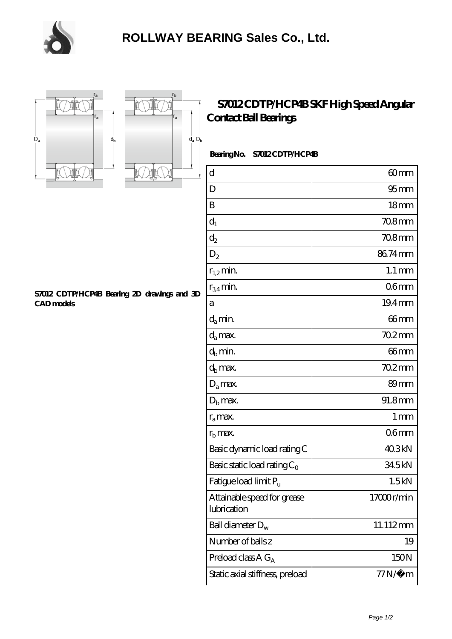





## **[S7012 CDTP/HCP4B SKF High Speed Angular](https://m.chooseyourcufflinks.com/skf-bearing/s7012-cdtp-hcp4b.html) [Contact Ball Bearings](https://m.chooseyourcufflinks.com/skf-bearing/s7012-cdtp-hcp4b.html)**

 **Bearing No. S7012 CDTP/HCP4B**

| $\rm d$                                    | 60mm                |
|--------------------------------------------|---------------------|
| D                                          | 95 <sub>mm</sub>    |
| B                                          | 18 <sub>mm</sub>    |
| $d_1$                                      | 708mm               |
| $\mathrm{d}_2$                             | 708mm               |
| $D_2$                                      | 86.74mm             |
| $r_{1,2}$ min.                             | $1.1 \,\mathrm{mm}$ |
| $r_{34}$ min.                              | 06mm                |
| a                                          | 19.4mm              |
| $d_a$ min.                                 | $66$ mm             |
| $d_a$ max.                                 | $702$ mm            |
| $d_b$ min.                                 | $66$ mm             |
| $d_h$ max.                                 | $702$ mm            |
| $D_a$ max.                                 | 89mm                |
| $Db$ max.                                  | 91.8mm              |
| $r_a$ max.                                 | $1 \,\mathrm{mm}$   |
| $r_{\rm b}$ max.                           | 06 <sub>mm</sub>    |
| Basic dynamic load rating C                | 40.3kN              |
| Basic static load rating $C_0$             | 345kN               |
| Fatigue load limit Pu                      | 1.5kN               |
| Attainable speed for grease<br>lubrication | 17000r/min          |
| Ball diameter $D_w$                        | 11.112mm            |
| Number of balls z                          | 19                  |
| Preload class $A G_A$                      | 150N                |
| Static axial stiffness, preload            | $77N/\mu$ m         |

**[S7012 CDTP/HCP4B Bearing 2D drawings and 3D](https://m.chooseyourcufflinks.com/pic-938527.html) [CAD models](https://m.chooseyourcufflinks.com/pic-938527.html)**